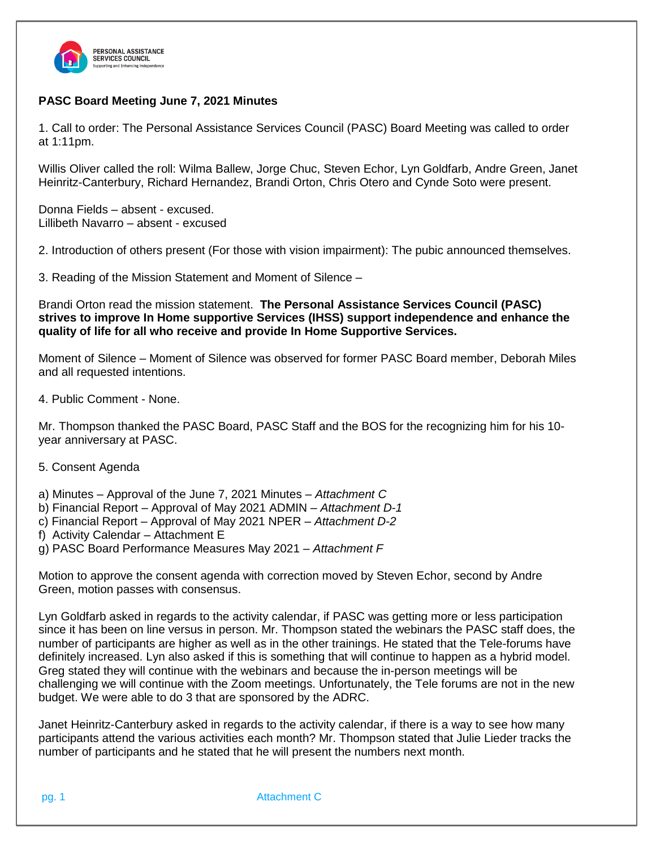

# **PASC Board Meeting June 7, 2021 Minutes**

1. Call to order: The Personal Assistance Services Council (PASC) Board Meeting was called to order at 1:11pm.

Willis Oliver called the roll: Wilma Ballew, Jorge Chuc, Steven Echor, Lyn Goldfarb, Andre Green, Janet Heinritz-Canterbury, Richard Hernandez, Brandi Orton, Chris Otero and Cynde Soto were present.

Donna Fields – absent - excused. Lillibeth Navarro – absent - excused

2. Introduction of others present (For those with vision impairment): The pubic announced themselves.

3. Reading of the Mission Statement and Moment of Silence –

Brandi Orton read the mission statement. **The Personal Assistance Services Council (PASC) strives to improve In Home supportive Services (IHSS) support independence and enhance the quality of life for all who receive and provide In Home Supportive Services.**

Moment of Silence – Moment of Silence was observed for former PASC Board member, Deborah Miles and all requested intentions.

4. Public Comment - None.

Mr. Thompson thanked the PASC Board, PASC Staff and the BOS for the recognizing him for his 10 year anniversary at PASC.

5. Consent Agenda

a) Minutes – Approval of the June 7, 2021 Minutes – *Attachment C*

- b) Financial Report Approval of May 2021 ADMIN *Attachment D-1*
- c) Financial Report Approval of May 2021 NPER *Attachment D-2*
- f) Activity Calendar Attachment E
- g) PASC Board Performance Measures May 2021 *– Attachment F*

Motion to approve the consent agenda with correction moved by Steven Echor, second by Andre Green, motion passes with consensus.

Lyn Goldfarb asked in regards to the activity calendar, if PASC was getting more or less participation since it has been on line versus in person. Mr. Thompson stated the webinars the PASC staff does, the number of participants are higher as well as in the other trainings. He stated that the Tele-forums have definitely increased. Lyn also asked if this is something that will continue to happen as a hybrid model. Greg stated they will continue with the webinars and because the in-person meetings will be challenging we will continue with the Zoom meetings. Unfortunately, the Tele forums are not in the new budget. We were able to do 3 that are sponsored by the ADRC.

Janet Heinritz-Canterbury asked in regards to the activity calendar, if there is a way to see how many participants attend the various activities each month? Mr. Thompson stated that Julie Lieder tracks the number of participants and he stated that he will present the numbers next month.

pg. 1 Attachment C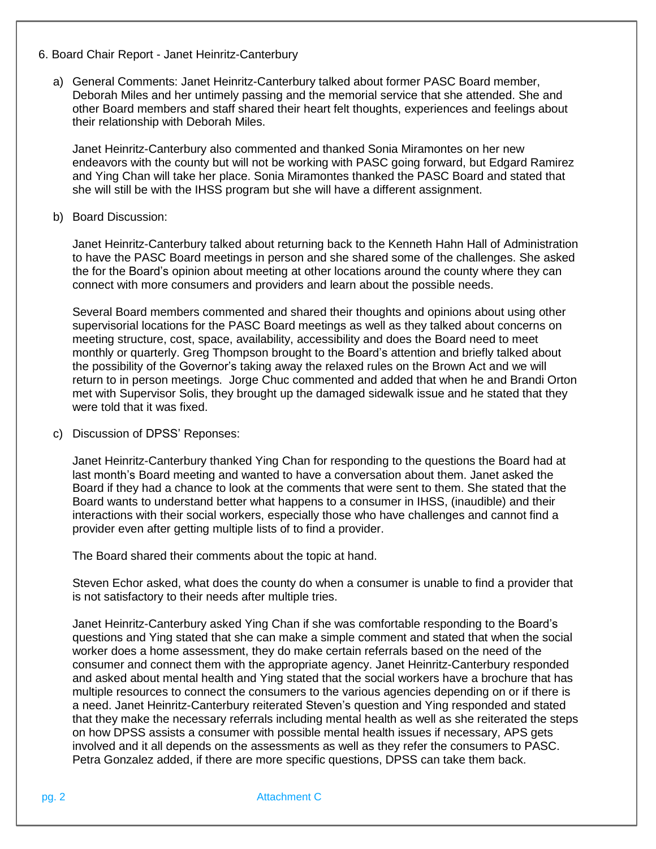- 6. Board Chair Report Janet Heinritz-Canterbury
	- a) General Comments: Janet Heinritz-Canterbury talked about former PASC Board member, Deborah Miles and her untimely passing and the memorial service that she attended. She and other Board members and staff shared their heart felt thoughts, experiences and feelings about their relationship with Deborah Miles.

Janet Heinritz-Canterbury also commented and thanked Sonia Miramontes on her new endeavors with the county but will not be working with PASC going forward, but Edgard Ramirez and Ying Chan will take her place. Sonia Miramontes thanked the PASC Board and stated that she will still be with the IHSS program but she will have a different assignment.

## b) Board Discussion:

Janet Heinritz-Canterbury talked about returning back to the Kenneth Hahn Hall of Administration to have the PASC Board meetings in person and she shared some of the challenges. She asked the for the Board's opinion about meeting at other locations around the county where they can connect with more consumers and providers and learn about the possible needs.

Several Board members commented and shared their thoughts and opinions about using other supervisorial locations for the PASC Board meetings as well as they talked about concerns on meeting structure, cost, space, availability, accessibility and does the Board need to meet monthly or quarterly. Greg Thompson brought to the Board's attention and briefly talked about the possibility of the Governor's taking away the relaxed rules on the Brown Act and we will return to in person meetings. Jorge Chuc commented and added that when he and Brandi Orton met with Supervisor Solis, they brought up the damaged sidewalk issue and he stated that they were told that it was fixed.

c) Discussion of DPSS' Reponses:

Janet Heinritz-Canterbury thanked Ying Chan for responding to the questions the Board had at last month's Board meeting and wanted to have a conversation about them. Janet asked the Board if they had a chance to look at the comments that were sent to them. She stated that the Board wants to understand better what happens to a consumer in IHSS, (inaudible) and their interactions with their social workers, especially those who have challenges and cannot find a provider even after getting multiple lists of to find a provider.

The Board shared their comments about the topic at hand.

Steven Echor asked, what does the county do when a consumer is unable to find a provider that is not satisfactory to their needs after multiple tries.

Janet Heinritz-Canterbury asked Ying Chan if she was comfortable responding to the Board's questions and Ying stated that she can make a simple comment and stated that when the social worker does a home assessment, they do make certain referrals based on the need of the consumer and connect them with the appropriate agency. Janet Heinritz-Canterbury responded and asked about mental health and Ying stated that the social workers have a brochure that has multiple resources to connect the consumers to the various agencies depending on or if there is a need. Janet Heinritz-Canterbury reiterated Steven's question and Ying responded and stated that they make the necessary referrals including mental health as well as she reiterated the steps on how DPSS assists a consumer with possible mental health issues if necessary, APS gets involved and it all depends on the assessments as well as they refer the consumers to PASC. Petra Gonzalez added, if there are more specific questions, DPSS can take them back.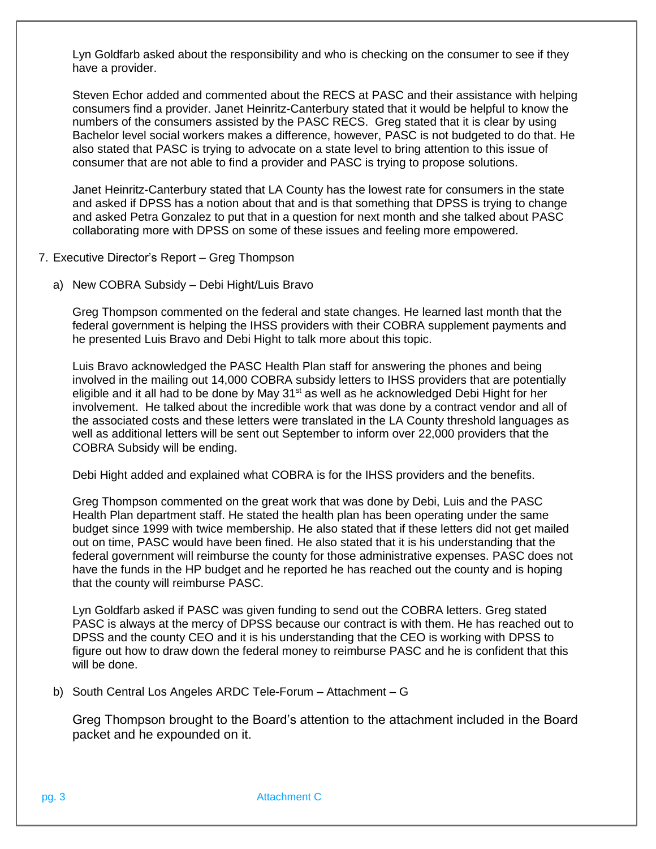Lyn Goldfarb asked about the responsibility and who is checking on the consumer to see if they have a provider.

Steven Echor added and commented about the RECS at PASC and their assistance with helping consumers find a provider. Janet Heinritz-Canterbury stated that it would be helpful to know the numbers of the consumers assisted by the PASC RECS. Greg stated that it is clear by using Bachelor level social workers makes a difference, however, PASC is not budgeted to do that. He also stated that PASC is trying to advocate on a state level to bring attention to this issue of consumer that are not able to find a provider and PASC is trying to propose solutions.

Janet Heinritz-Canterbury stated that LA County has the lowest rate for consumers in the state and asked if DPSS has a notion about that and is that something that DPSS is trying to change and asked Petra Gonzalez to put that in a question for next month and she talked about PASC collaborating more with DPSS on some of these issues and feeling more empowered.

- 7. Executive Director's Report Greg Thompson
	- a) New COBRA Subsidy Debi Hight/Luis Bravo

Greg Thompson commented on the federal and state changes. He learned last month that the federal government is helping the IHSS providers with their COBRA supplement payments and he presented Luis Bravo and Debi Hight to talk more about this topic.

Luis Bravo acknowledged the PASC Health Plan staff for answering the phones and being involved in the mailing out 14,000 COBRA subsidy letters to IHSS providers that are potentially eligible and it all had to be done by May  $31<sup>st</sup>$  as well as he acknowledged Debi Hight for her involvement. He talked about the incredible work that was done by a contract vendor and all of the associated costs and these letters were translated in the LA County threshold languages as well as additional letters will be sent out September to inform over 22,000 providers that the COBRA Subsidy will be ending.

Debi Hight added and explained what COBRA is for the IHSS providers and the benefits.

Greg Thompson commented on the great work that was done by Debi, Luis and the PASC Health Plan department staff. He stated the health plan has been operating under the same budget since 1999 with twice membership. He also stated that if these letters did not get mailed out on time, PASC would have been fined. He also stated that it is his understanding that the federal government will reimburse the county for those administrative expenses. PASC does not have the funds in the HP budget and he reported he has reached out the county and is hoping that the county will reimburse PASC.

Lyn Goldfarb asked if PASC was given funding to send out the COBRA letters. Greg stated PASC is always at the mercy of DPSS because our contract is with them. He has reached out to DPSS and the county CEO and it is his understanding that the CEO is working with DPSS to figure out how to draw down the federal money to reimburse PASC and he is confident that this will be done.

b) South Central Los Angeles ARDC Tele-Forum – Attachment – G

Greg Thompson brought to the Board's attention to the attachment included in the Board packet and he expounded on it.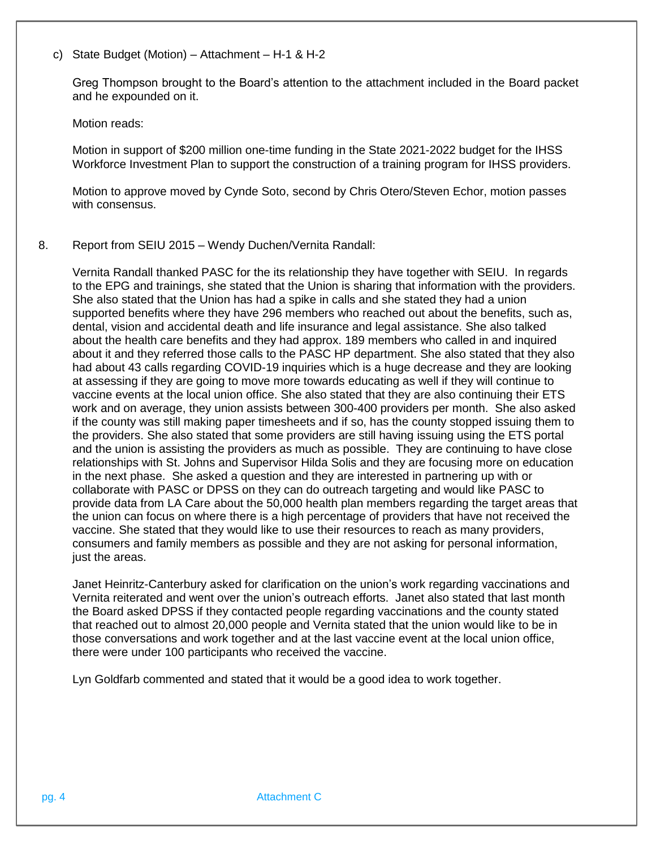c) State Budget (Motion) – Attachment – H-1 & H-2

Greg Thompson brought to the Board's attention to the attachment included in the Board packet and he expounded on it.

#### Motion reads:

Motion in support of \$200 million one-time funding in the State 2021-2022 budget for the IHSS Workforce Investment Plan to support the construction of a training program for IHSS providers.

Motion to approve moved by Cynde Soto, second by Chris Otero/Steven Echor, motion passes with consensus.

## 8. Report from SEIU 2015 – Wendy Duchen/Vernita Randall:

Vernita Randall thanked PASC for the its relationship they have together with SEIU. In regards to the EPG and trainings, she stated that the Union is sharing that information with the providers. She also stated that the Union has had a spike in calls and she stated they had a union supported benefits where they have 296 members who reached out about the benefits, such as, dental, vision and accidental death and life insurance and legal assistance. She also talked about the health care benefits and they had approx. 189 members who called in and inquired about it and they referred those calls to the PASC HP department. She also stated that they also had about 43 calls regarding COVID-19 inquiries which is a huge decrease and they are looking at assessing if they are going to move more towards educating as well if they will continue to vaccine events at the local union office. She also stated that they are also continuing their ETS work and on average, they union assists between 300-400 providers per month. She also asked if the county was still making paper timesheets and if so, has the county stopped issuing them to the providers. She also stated that some providers are still having issuing using the ETS portal and the union is assisting the providers as much as possible. They are continuing to have close relationships with St. Johns and Supervisor Hilda Solis and they are focusing more on education in the next phase. She asked a question and they are interested in partnering up with or collaborate with PASC or DPSS on they can do outreach targeting and would like PASC to provide data from LA Care about the 50,000 health plan members regarding the target areas that the union can focus on where there is a high percentage of providers that have not received the vaccine. She stated that they would like to use their resources to reach as many providers, consumers and family members as possible and they are not asking for personal information, just the areas.

Janet Heinritz-Canterbury asked for clarification on the union's work regarding vaccinations and Vernita reiterated and went over the union's outreach efforts. Janet also stated that last month the Board asked DPSS if they contacted people regarding vaccinations and the county stated that reached out to almost 20,000 people and Vernita stated that the union would like to be in those conversations and work together and at the last vaccine event at the local union office, there were under 100 participants who received the vaccine.

Lyn Goldfarb commented and stated that it would be a good idea to work together.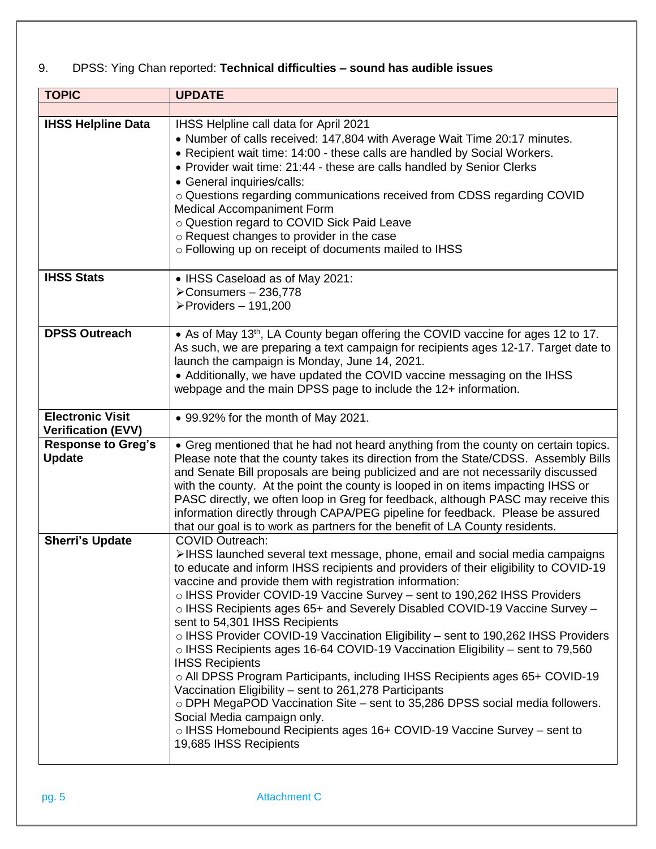# 9. DPSS: Ying Chan reported: **Technical difficulties – sound has audible issues**

| <b>TOPIC</b>                                         | <b>UPDATE</b>                                                                                                                                                                                                                                                                                                                                                                                                                                                                                                                                                                                                                                                                                                                                                                                                                                                                                                                                                                                                             |
|------------------------------------------------------|---------------------------------------------------------------------------------------------------------------------------------------------------------------------------------------------------------------------------------------------------------------------------------------------------------------------------------------------------------------------------------------------------------------------------------------------------------------------------------------------------------------------------------------------------------------------------------------------------------------------------------------------------------------------------------------------------------------------------------------------------------------------------------------------------------------------------------------------------------------------------------------------------------------------------------------------------------------------------------------------------------------------------|
|                                                      |                                                                                                                                                                                                                                                                                                                                                                                                                                                                                                                                                                                                                                                                                                                                                                                                                                                                                                                                                                                                                           |
| <b>IHSS Helpline Data</b>                            | IHSS Helpline call data for April 2021<br>• Number of calls received: 147,804 with Average Wait Time 20:17 minutes.<br>• Recipient wait time: 14:00 - these calls are handled by Social Workers.<br>• Provider wait time: 21:44 - these are calls handled by Senior Clerks<br>• General inquiries/calls:<br>o Questions regarding communications received from CDSS regarding COVID<br>Medical Accompaniment Form<br>o Question regard to COVID Sick Paid Leave<br>o Request changes to provider in the case<br>o Following up on receipt of documents mailed to IHSS                                                                                                                                                                                                                                                                                                                                                                                                                                                     |
| <b>IHSS Stats</b>                                    | • IHSS Caseload as of May 2021:<br>$\blacktriangleright$ Consumers - 236,778<br>$\triangleright$ Providers - 191,200                                                                                                                                                                                                                                                                                                                                                                                                                                                                                                                                                                                                                                                                                                                                                                                                                                                                                                      |
| <b>DPSS Outreach</b>                                 | • As of May 13 <sup>th</sup> , LA County began offering the COVID vaccine for ages 12 to 17.<br>As such, we are preparing a text campaign for recipients ages 12-17. Target date to<br>launch the campaign is Monday, June 14, 2021.<br>• Additionally, we have updated the COVID vaccine messaging on the IHSS<br>webpage and the main DPSS page to include the 12+ information.                                                                                                                                                                                                                                                                                                                                                                                                                                                                                                                                                                                                                                         |
| <b>Electronic Visit</b><br><b>Verification (EVV)</b> | • 99.92% for the month of May 2021.                                                                                                                                                                                                                                                                                                                                                                                                                                                                                                                                                                                                                                                                                                                                                                                                                                                                                                                                                                                       |
| <b>Response to Greg's</b><br><b>Update</b>           | • Greg mentioned that he had not heard anything from the county on certain topics.<br>Please note that the county takes its direction from the State/CDSS. Assembly Bills<br>and Senate Bill proposals are being publicized and are not necessarily discussed<br>with the county. At the point the county is looped in on items impacting IHSS or<br>PASC directly, we often loop in Greg for feedback, although PASC may receive this<br>information directly through CAPA/PEG pipeline for feedback. Please be assured<br>that our goal is to work as partners for the benefit of LA County residents.                                                                                                                                                                                                                                                                                                                                                                                                                  |
| <b>Sherri's Update</b>                               | <b>COVID Outreach:</b><br>>IHSS launched several text message, phone, email and social media campaigns<br>to educate and inform IHSS recipients and providers of their eligibility to COVID-19<br>vaccine and provide them with registration information:<br>○ IHSS Provider COVID-19 Vaccine Survey – sent to 190,262 IHSS Providers<br>o IHSS Recipients ages 65+ and Severely Disabled COVID-19 Vaccine Survey -<br>sent to 54,301 IHSS Recipients<br>o IHSS Provider COVID-19 Vaccination Eligibility - sent to 190,262 IHSS Providers<br>$\circ$ IHSS Recipients ages 16-64 COVID-19 Vaccination Eligibility – sent to 79,560<br><b>IHSS Recipients</b><br>○ All DPSS Program Participants, including IHSS Recipients ages 65+ COVID-19<br>Vaccination Eligibility - sent to 261,278 Participants<br>o DPH MegaPOD Vaccination Site - sent to 35,286 DPSS social media followers.<br>Social Media campaign only.<br>o IHSS Homebound Recipients ages 16+ COVID-19 Vaccine Survey - sent to<br>19,685 IHSS Recipients |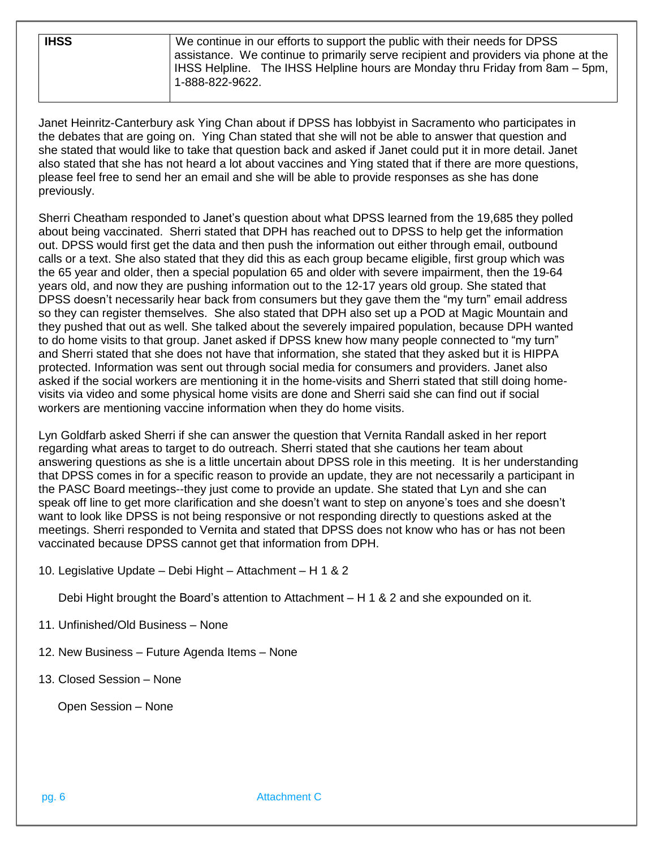| <b>IHSS</b> | We continue in our efforts to support the public with their needs for DPSS<br>assistance. We continue to primarily serve recipient and providers via phone at the |
|-------------|-------------------------------------------------------------------------------------------------------------------------------------------------------------------|
|             | IHSS Helpline. The IHSS Helpline hours are Monday thru Friday from 8am – 5pm,<br>1-888-822-9622.                                                                  |

Janet Heinritz-Canterbury ask Ying Chan about if DPSS has lobbyist in Sacramento who participates in the debates that are going on. Ying Chan stated that she will not be able to answer that question and she stated that would like to take that question back and asked if Janet could put it in more detail. Janet also stated that she has not heard a lot about vaccines and Ying stated that if there are more questions, please feel free to send her an email and she will be able to provide responses as she has done previously.

Sherri Cheatham responded to Janet's question about what DPSS learned from the 19,685 they polled about being vaccinated. Sherri stated that DPH has reached out to DPSS to help get the information out. DPSS would first get the data and then push the information out either through email, outbound calls or a text. She also stated that they did this as each group became eligible, first group which was the 65 year and older, then a special population 65 and older with severe impairment, then the 19-64 years old, and now they are pushing information out to the 12-17 years old group. She stated that DPSS doesn't necessarily hear back from consumers but they gave them the "my turn" email address so they can register themselves. She also stated that DPH also set up a POD at Magic Mountain and they pushed that out as well. She talked about the severely impaired population, because DPH wanted to do home visits to that group. Janet asked if DPSS knew how many people connected to "my turn" and Sherri stated that she does not have that information, she stated that they asked but it is HIPPA protected. Information was sent out through social media for consumers and providers. Janet also asked if the social workers are mentioning it in the home-visits and Sherri stated that still doing homevisits via video and some physical home visits are done and Sherri said she can find out if social workers are mentioning vaccine information when they do home visits.

Lyn Goldfarb asked Sherri if she can answer the question that Vernita Randall asked in her report regarding what areas to target to do outreach. Sherri stated that she cautions her team about answering questions as she is a little uncertain about DPSS role in this meeting. It is her understanding that DPSS comes in for a specific reason to provide an update, they are not necessarily a participant in the PASC Board meetings--they just come to provide an update. She stated that Lyn and she can speak off line to get more clarification and she doesn't want to step on anyone's toes and she doesn't want to look like DPSS is not being responsive or not responding directly to questions asked at the meetings. Sherri responded to Vernita and stated that DPSS does not know who has or has not been vaccinated because DPSS cannot get that information from DPH.

10. Legislative Update – Debi Hight – Attachment – H 1 & 2

Debi Hight brought the Board's attention to Attachment – H 1 & 2 and she expounded on it.

- 11. Unfinished/Old Business None
- 12. New Business Future Agenda Items None
- 13. Closed Session None

Open Session – None